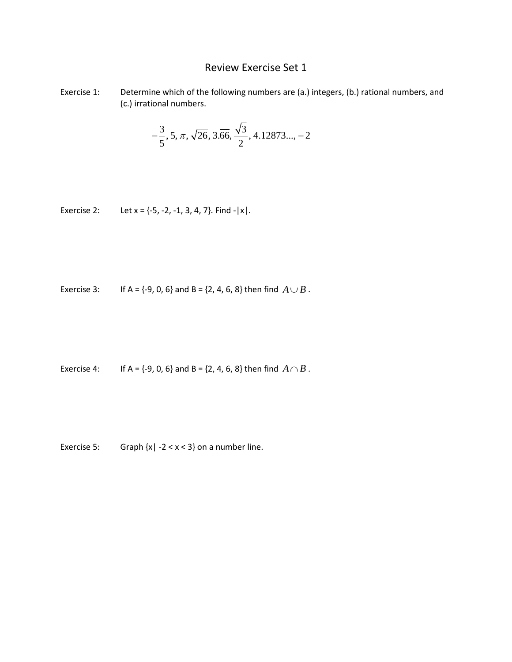## Review Exercise Set 1

Exercise 1: Determine which of the following numbers are (a.) integers, (b.) rational numbers, and (c.) irrational numbers.

$$
-\frac{3}{5}, 5, \pi, \sqrt{26}, 3.\overline{66}, \frac{\sqrt{3}}{2}, 4.12873..., -2
$$

Exercise 2: Let  $x = \{-5, -2, -1, 3, 4, 7\}$ . Find  $-|x|$ .

Exercise 3: If A = {-9, 0, 6} and B = {2, 4, 6, 8} then find  $A \cup B$ .

Exercise 4: If A =  $\{-9, 0, 6\}$  and B =  $\{2, 4, 6, 8\}$  then find  $A \cap B$ .

Exercise 5: Graph  $\{x \mid -2 < x < 3\}$  on a number line.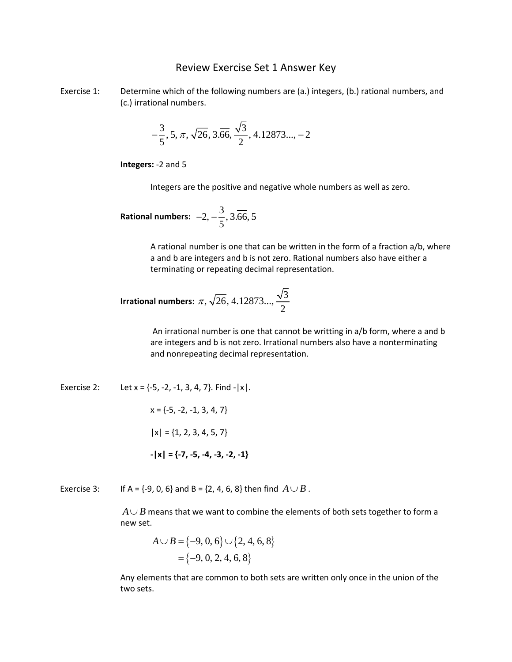## Review Exercise Set 1 Answer Key

Exercise 1: Determine which of the following numbers are (a.) integers, (b.) rational numbers, and (c.) irrational numbers.

$$
-\frac{3}{5}, 5, \pi, \sqrt{26}, 3.\overline{66}, \frac{\sqrt{3}}{2}, 4.12873..., -2
$$

**Integers:** -2 and 5

Integers are the positive and negative whole numbers as well as zero.

Rational numbers: 
$$
-2, -\frac{3}{5}, 3.\overline{66}, 5
$$

A rational number is one that can be written in the form of a fraction a/b, where a and b are integers and b is not zero. Rational numbers also have either a terminating or repeating decimal representation.

 $\overline{a}$ 

**Irrational numbers:** 
$$
\pi
$$
,  $\sqrt{26}$ , 4.12873...,  $\frac{\sqrt{3}}{2}$ 

An irrational number is one that cannot be writting in a/b form, where a and b are integers and b is not zero. Irrational numbers also have a nonterminating and nonrepeating decimal representation.

Exercise 2: Let  $x = \{-5, -2, -1, 3, 4, 7\}$ . Find  $-|x|$ .  $x = \{-5, -2, -1, 3, 4, 7\}$  $|x| = \{1, 2, 3, 4, 5, 7\}$ **-|x| = {-7, -5, -4, -3, -2, -1}**

Exercise 3: If A =  $\{-9, 0, 6\}$  and B =  $\{2, 4, 6, 8\}$  then find  $A \cup B$ .

 $A \cup B$  means that we want to combine the elements of both sets together to form a new set.

$$
A \cup B = \{-9, 0, 6\} \cup \{2, 4, 6, 8\}
$$
  
=  $\{-9, 0, 2, 4, 6, 8\}$ 

Any elements that are common to both sets are written only once in the union of the two sets.